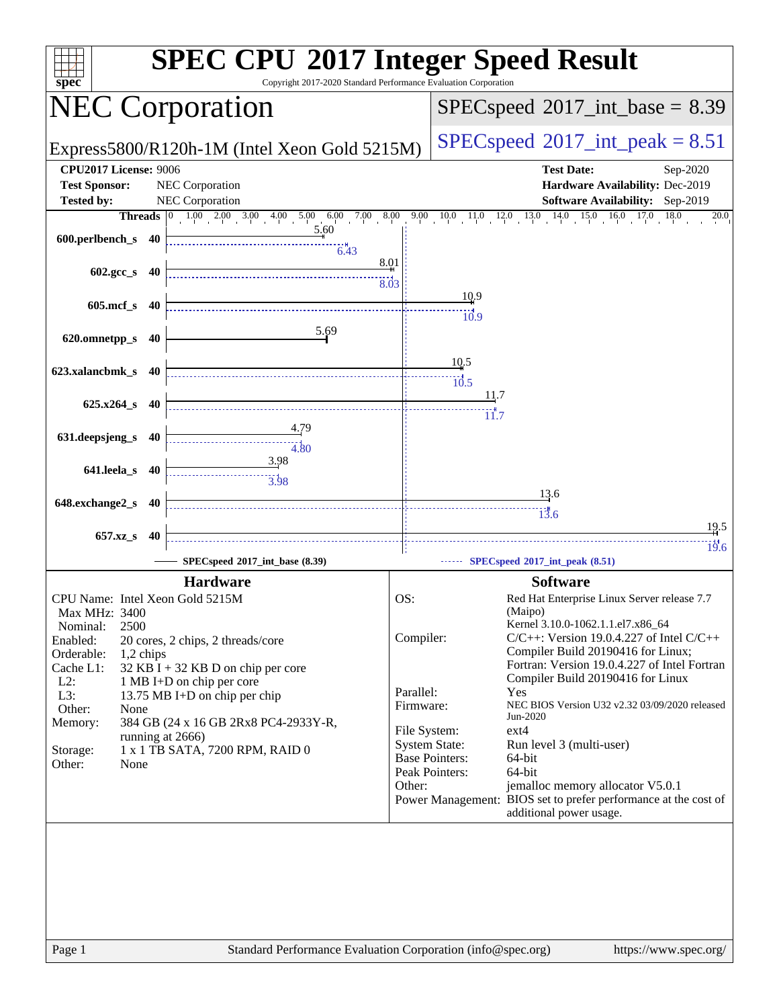| spec                         | <b>SPEC CPU®2017 Integer Speed Result</b><br>Copyright 2017-2020 Standard Performance Evaluation Corporation |                                            |                                                                                   |  |  |  |
|------------------------------|--------------------------------------------------------------------------------------------------------------|--------------------------------------------|-----------------------------------------------------------------------------------|--|--|--|
|                              | <b>NEC Corporation</b>                                                                                       | $SPEC speed^{\circ}2017\_int\_base = 8.39$ |                                                                                   |  |  |  |
|                              | Express5800/R120h-1M (Intel Xeon Gold 5215M)                                                                 |                                            | $SPEC speed^{\circ}2017\_int\_peak = 8.51$                                        |  |  |  |
| <b>CPU2017 License: 9006</b> |                                                                                                              |                                            | <b>Test Date:</b><br>Sep-2020                                                     |  |  |  |
| <b>Test Sponsor:</b>         | <b>NEC Corporation</b>                                                                                       |                                            | Hardware Availability: Dec-2019                                                   |  |  |  |
| <b>Tested by:</b>            | NEC Corporation                                                                                              |                                            | Software Availability: Sep-2019<br>18.0                                           |  |  |  |
|                              | $1.00$ $2.00$ $3.00$ $4.00$ $5.00$ $6.00$ $7.00$ $8.00$<br>Threads $ 0 $<br>5.60                             |                                            | $15.0 \t16.0$<br>$9.00 \t10.0 \t11.0 \t12.0 \t13.0$<br>14.0<br>17.0<br>20.0       |  |  |  |
| 600.perlbench_s 40           | 6.43                                                                                                         |                                            |                                                                                   |  |  |  |
|                              |                                                                                                              | 8.01                                       |                                                                                   |  |  |  |
| 602.gcc_s 40                 |                                                                                                              | 8.03                                       |                                                                                   |  |  |  |
| 605.mcf_s 40                 |                                                                                                              |                                            | 10.9                                                                              |  |  |  |
|                              |                                                                                                              |                                            | $\frac{10!}{9}$                                                                   |  |  |  |
| 620.omnetpp_s 40             | 5.69                                                                                                         |                                            |                                                                                   |  |  |  |
|                              |                                                                                                              |                                            | 10.5                                                                              |  |  |  |
| 623.xalancbmk_s 40           |                                                                                                              |                                            | $\overline{10.5}$                                                                 |  |  |  |
|                              |                                                                                                              |                                            | 11.7                                                                              |  |  |  |
| $625.x264_s$ 40              |                                                                                                              |                                            | 11.7                                                                              |  |  |  |
| 631.deepsjeng_s 40           | 4.79                                                                                                         |                                            |                                                                                   |  |  |  |
|                              | 4.80                                                                                                         |                                            |                                                                                   |  |  |  |
| 641.leela_s 40               | 3.98                                                                                                         |                                            |                                                                                   |  |  |  |
|                              |                                                                                                              |                                            |                                                                                   |  |  |  |
| 648.exchange2_s 40           |                                                                                                              |                                            | <u>13.6</u>                                                                       |  |  |  |
|                              |                                                                                                              |                                            | $\dddot{1} \dddot{3} \dot{.} 6$<br>19.5                                           |  |  |  |
| 657.xz_s                     | -40                                                                                                          |                                            | $\frac{114}{19.6}$                                                                |  |  |  |
|                              | SPECspeed®2017_int_base (8.39)                                                                               |                                            | SPECspeed®2017_int_peak (8.51)                                                    |  |  |  |
|                              | <b>Hardware</b>                                                                                              |                                            | <b>Software</b>                                                                   |  |  |  |
|                              | CPU Name: Intel Xeon Gold 5215M                                                                              | OS:                                        | Red Hat Enterprise Linux Server release 7.7                                       |  |  |  |
| Max MHz: 3400                |                                                                                                              |                                            | (Maipo)<br>Kernel 3.10.0-1062.1.1.el7.x86_64                                      |  |  |  |
| 2500<br>Nominal:<br>Enabled: | 20 cores, 2 chips, 2 threads/core                                                                            | Compiler:                                  | $C/C++$ : Version 19.0.4.227 of Intel $C/C++$                                     |  |  |  |
| Orderable:<br>1,2 chips      |                                                                                                              |                                            | Compiler Build 20190416 for Linux;                                                |  |  |  |
| Cache L1:                    | 32 KB I + 32 KB D on chip per core                                                                           |                                            | Fortran: Version 19.0.4.227 of Intel Fortran<br>Compiler Build 20190416 for Linux |  |  |  |
| $L2$ :<br>L3:                | 1 MB I+D on chip per core<br>13.75 MB I+D on chip per chip                                                   | Parallel:                                  | Yes                                                                               |  |  |  |
| Other:<br>None               |                                                                                                              | Firmware:                                  | NEC BIOS Version U32 v2.32 03/09/2020 released                                    |  |  |  |
| Memory:                      | 384 GB (24 x 16 GB 2Rx8 PC4-2933Y-R,                                                                         |                                            | Jun-2020<br>ext4<br>File System:                                                  |  |  |  |
| Storage:                     | running at 2666)<br>1 x 1 TB SATA, 7200 RPM, RAID 0                                                          |                                            | <b>System State:</b><br>Run level 3 (multi-user)                                  |  |  |  |
| Other:<br>None               |                                                                                                              |                                            | <b>Base Pointers:</b><br>64-bit                                                   |  |  |  |
|                              |                                                                                                              | Other:                                     | Peak Pointers:<br>64-bit<br>jemalloc memory allocator V5.0.1                      |  |  |  |
|                              |                                                                                                              |                                            | Power Management: BIOS set to prefer performance at the cost of                   |  |  |  |
|                              |                                                                                                              |                                            | additional power usage.                                                           |  |  |  |
|                              |                                                                                                              |                                            |                                                                                   |  |  |  |
|                              |                                                                                                              |                                            |                                                                                   |  |  |  |
|                              |                                                                                                              |                                            |                                                                                   |  |  |  |
|                              |                                                                                                              |                                            |                                                                                   |  |  |  |
|                              |                                                                                                              |                                            |                                                                                   |  |  |  |
|                              |                                                                                                              |                                            |                                                                                   |  |  |  |
| Page 1                       | Standard Performance Evaluation Corporation (info@spec.org)                                                  |                                            | https://www.spec.org/                                                             |  |  |  |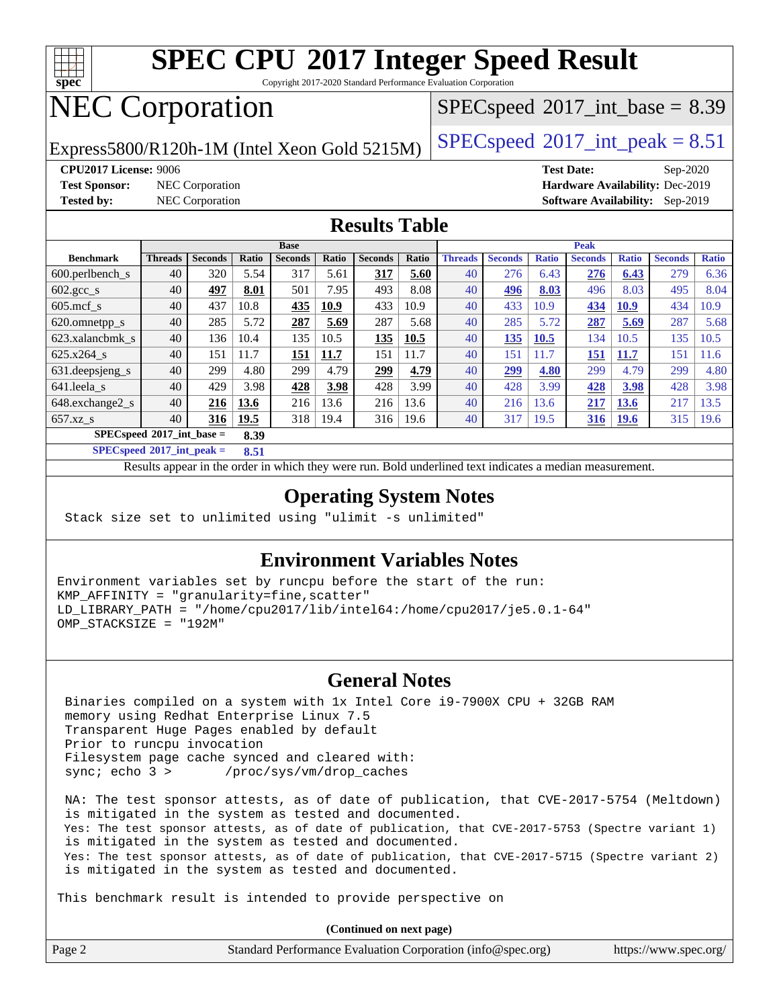

Copyright 2017-2020 Standard Performance Evaluation Corporation

# NEC Corporation

Express5800/R120h-1M (Intel Xeon Gold 5215M)  $\big|$  [SPECspeed](http://www.spec.org/auto/cpu2017/Docs/result-fields.html#SPECspeed2017intpeak)®[2017\\_int\\_peak = 8](http://www.spec.org/auto/cpu2017/Docs/result-fields.html#SPECspeed2017intpeak).51

 $SPECspeed^{\circledcirc}2017\_int\_base = 8.39$  $SPECspeed^{\circledcirc}2017\_int\_base = 8.39$ 

**[Test Sponsor:](http://www.spec.org/auto/cpu2017/Docs/result-fields.html#TestSponsor)** NEC Corporation **[Hardware Availability:](http://www.spec.org/auto/cpu2017/Docs/result-fields.html#HardwareAvailability)** Dec-2019

**[CPU2017 License:](http://www.spec.org/auto/cpu2017/Docs/result-fields.html#CPU2017License)** 9006 **[Test Date:](http://www.spec.org/auto/cpu2017/Docs/result-fields.html#TestDate)** Sep-2020 **[Tested by:](http://www.spec.org/auto/cpu2017/Docs/result-fields.html#Testedby)** NEC Corporation **[Software Availability:](http://www.spec.org/auto/cpu2017/Docs/result-fields.html#SoftwareAvailability)** Sep-2019

#### **[Results Table](http://www.spec.org/auto/cpu2017/Docs/result-fields.html#ResultsTable)**

|                               |                |                |       | <b>Base</b>    |       |                |       |                | <b>Peak</b>    |              |                |              |                |              |
|-------------------------------|----------------|----------------|-------|----------------|-------|----------------|-------|----------------|----------------|--------------|----------------|--------------|----------------|--------------|
| <b>Benchmark</b>              | <b>Threads</b> | <b>Seconds</b> | Ratio | <b>Seconds</b> | Ratio | <b>Seconds</b> | Ratio | <b>Threads</b> | <b>Seconds</b> | <b>Ratio</b> | <b>Seconds</b> | <b>Ratio</b> | <b>Seconds</b> | <b>Ratio</b> |
| $600.$ perlbench $\mathsf{S}$ | 40             | 320            | 5.54  | 317            | 5.61  | 317            | 5.60  | 40             | 276            | 6.43         | 276            | 6.43         | 279            | 6.36         |
| $602.\text{gcc}\_\text{s}$    | 40             | 497            | 8.01  | 501            | 7.95  | 493            | 8.08  | 40             | 496            | 8.03         | 496            | 8.03         | 495            | 8.04         |
| $605$ .mcf s                  | 40             | 437            | 10.8  | 435            | 10.9  | 433            | 10.9  | 40             | 433            | 10.9         | 434            | 10.9         | 434            | 10.9         |
| 620.omnetpp_s                 | 40             | 285            | 5.72  | 287            | 5.69  | 287            | 5.68  | 40             | 285            | 5.72         | 287            | 5.69         | 287            | 5.68         |
| 623.xalancbmk s               | 40             | 136            | 10.4  | 135            | 10.5  | 135            | 10.5  | 40             | 135            | 10.5         | 134            | 10.5         | 135            | 10.5         |
| 625.x264 s                    | 40             | 151            | 11.7  | 151            | 11.7  | 151            | 11.7  | 40             | 151            | 11.7         | 151            | 11.7         | 151            | 11.6         |
| 631.deepsjeng_s               | 40             | 299            | 4.80  | 299            | 4.79  | 299            | 4.79  | 40             | 299            | 4.80         | 299            | 4.79         | 299            | 4.80         |
| 641.leela s                   | 40             | 429            | 3.98  | 428            | 3.98  | 428            | 3.99  | 40             | 428            | 3.99         | 428            | 3.98         | 428            | 3.98         |
| 648.exchange2_s               | 40             | 216            | 13.6  | 216            | 13.6  | 216            | 13.6  | 40             | 216            | 13.6         | 217            | <b>13.6</b>  | 217            | 13.5         |
| $657.xz$ <sub>S</sub>         | 40             | 316            | 19.5  | 318            | 19.4  | 316            | 19.6  | 40             | 317            | 19.5         | <b>316</b>     | <b>19.6</b>  | 315            | 19.6         |
| $SPECspeed*2017$ int base =   |                |                | 8.39  |                |       |                |       |                |                |              |                |              |                |              |

**[SPECspeed](http://www.spec.org/auto/cpu2017/Docs/result-fields.html#SPECspeed2017intpeak)[2017\\_int\\_peak =](http://www.spec.org/auto/cpu2017/Docs/result-fields.html#SPECspeed2017intpeak) 8.51**

Results appear in the [order in which they were run.](http://www.spec.org/auto/cpu2017/Docs/result-fields.html#RunOrder) Bold underlined text [indicates a median measurement](http://www.spec.org/auto/cpu2017/Docs/result-fields.html#Median).

#### **[Operating System Notes](http://www.spec.org/auto/cpu2017/Docs/result-fields.html#OperatingSystemNotes)**

Stack size set to unlimited using "ulimit -s unlimited"

#### **[Environment Variables Notes](http://www.spec.org/auto/cpu2017/Docs/result-fields.html#EnvironmentVariablesNotes)**

Environment variables set by runcpu before the start of the run: KMP\_AFFINITY = "granularity=fine,scatter" LD\_LIBRARY\_PATH = "/home/cpu2017/lib/intel64:/home/cpu2017/je5.0.1-64" OMP\_STACKSIZE = "192M"

#### **[General Notes](http://www.spec.org/auto/cpu2017/Docs/result-fields.html#GeneralNotes)**

 Binaries compiled on a system with 1x Intel Core i9-7900X CPU + 32GB RAM memory using Redhat Enterprise Linux 7.5 Transparent Huge Pages enabled by default Prior to runcpu invocation Filesystem page cache synced and cleared with: sync; echo 3 > /proc/sys/vm/drop\_caches

 NA: The test sponsor attests, as of date of publication, that CVE-2017-5754 (Meltdown) is mitigated in the system as tested and documented. Yes: The test sponsor attests, as of date of publication, that CVE-2017-5753 (Spectre variant 1) is mitigated in the system as tested and documented. Yes: The test sponsor attests, as of date of publication, that CVE-2017-5715 (Spectre variant 2) is mitigated in the system as tested and documented.

This benchmark result is intended to provide perspective on

| Page 2 | Standard Performance Evaluation Corporation (info@spec.org) | https://www.spec.org/ |
|--------|-------------------------------------------------------------|-----------------------|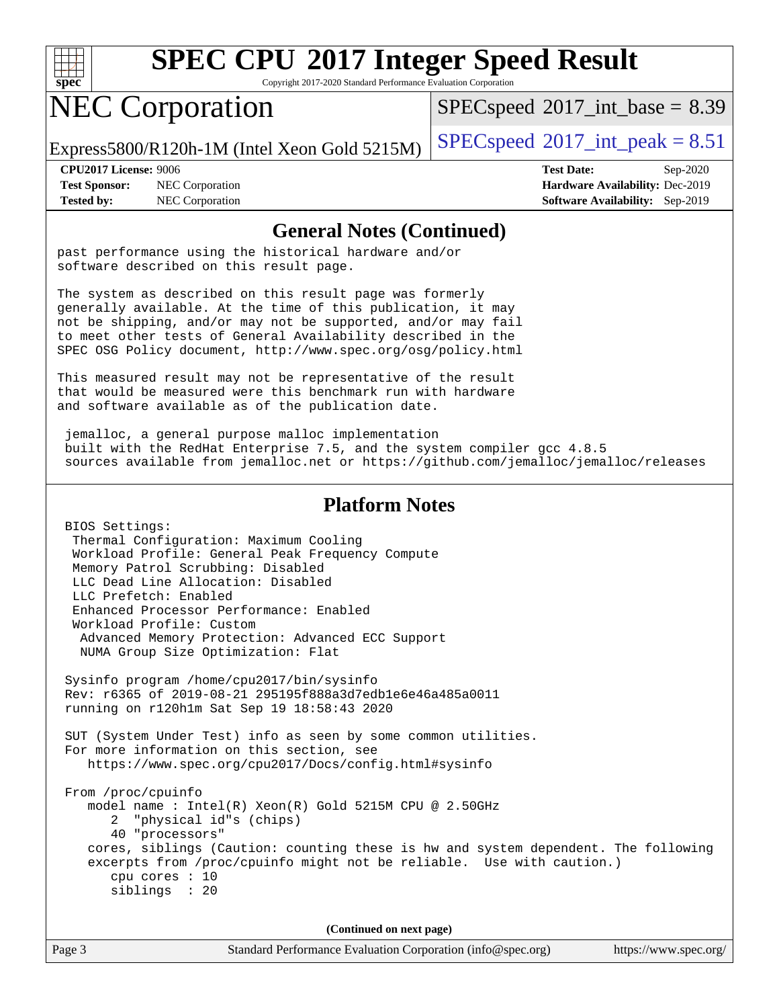

Copyright 2017-2020 Standard Performance Evaluation Corporation

# NEC Corporation

 $SPECspeed^{\circ}2017\_int\_base = 8.39$  $SPECspeed^{\circ}2017\_int\_base = 8.39$ 

Express5800/R120h-1M (Intel Xeon Gold 5215M)  $\big|$  [SPECspeed](http://www.spec.org/auto/cpu2017/Docs/result-fields.html#SPECspeed2017intpeak)®[2017\\_int\\_peak = 8](http://www.spec.org/auto/cpu2017/Docs/result-fields.html#SPECspeed2017intpeak).51

**[Test Sponsor:](http://www.spec.org/auto/cpu2017/Docs/result-fields.html#TestSponsor)** NEC Corporation **[Hardware Availability:](http://www.spec.org/auto/cpu2017/Docs/result-fields.html#HardwareAvailability)** Dec-2019

**[CPU2017 License:](http://www.spec.org/auto/cpu2017/Docs/result-fields.html#CPU2017License)** 9006 **[Test Date:](http://www.spec.org/auto/cpu2017/Docs/result-fields.html#TestDate)** Sep-2020 **[Tested by:](http://www.spec.org/auto/cpu2017/Docs/result-fields.html#Testedby)** NEC Corporation **[Software Availability:](http://www.spec.org/auto/cpu2017/Docs/result-fields.html#SoftwareAvailability)** Sep-2019

#### **[General Notes \(Continued\)](http://www.spec.org/auto/cpu2017/Docs/result-fields.html#GeneralNotes)**

past performance using the historical hardware and/or software described on this result page.

The system as described on this result page was formerly generally available. At the time of this publication, it may not be shipping, and/or may not be supported, and/or may fail to meet other tests of General Availability described in the SPEC OSG Policy document, <http://www.spec.org/osg/policy.html>

This measured result may not be representative of the result that would be measured were this benchmark run with hardware and software available as of the publication date.

 jemalloc, a general purpose malloc implementation built with the RedHat Enterprise 7.5, and the system compiler gcc 4.8.5 sources available from jemalloc.net or <https://github.com/jemalloc/jemalloc/releases>

#### **[Platform Notes](http://www.spec.org/auto/cpu2017/Docs/result-fields.html#PlatformNotes)**

 BIOS Settings: Thermal Configuration: Maximum Cooling Workload Profile: General Peak Frequency Compute Memory Patrol Scrubbing: Disabled LLC Dead Line Allocation: Disabled LLC Prefetch: Enabled Enhanced Processor Performance: Enabled Workload Profile: Custom Advanced Memory Protection: Advanced ECC Support NUMA Group Size Optimization: Flat Sysinfo program /home/cpu2017/bin/sysinfo Rev: r6365 of 2019-08-21 295195f888a3d7edb1e6e46a485a0011 running on r120h1m Sat Sep 19 18:58:43 2020 SUT (System Under Test) info as seen by some common utilities. For more information on this section, see <https://www.spec.org/cpu2017/Docs/config.html#sysinfo> From /proc/cpuinfo model name : Intel(R) Xeon(R) Gold 5215M CPU @ 2.50GHz 2 "physical id"s (chips) 40 "processors" cores, siblings (Caution: counting these is hw and system dependent. The following excerpts from /proc/cpuinfo might not be reliable. Use with caution.) cpu cores : 10 siblings : 20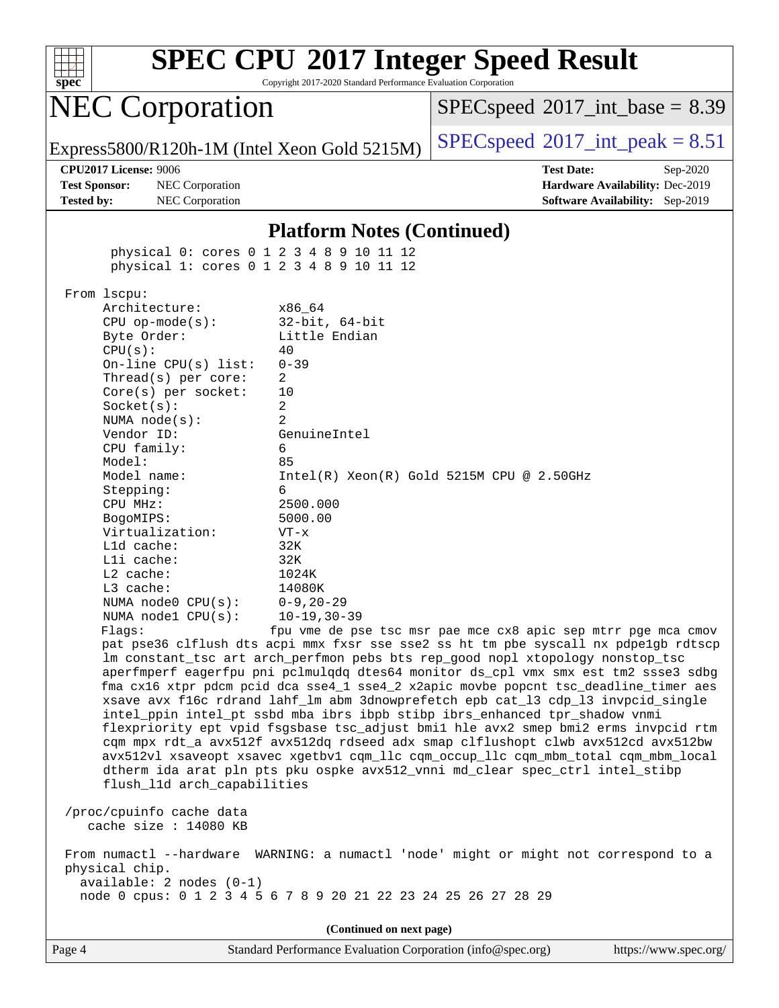

Copyright 2017-2020 Standard Performance Evaluation Corporation

# NEC Corporation

 $SPECspeed^{\circ}2017\_int\_base = 8.39$  $SPECspeed^{\circ}2017\_int\_base = 8.39$ 

Express5800/R120h-1M (Intel Xeon Gold 5215M)  $\big|$  [SPECspeed](http://www.spec.org/auto/cpu2017/Docs/result-fields.html#SPECspeed2017intpeak)®[2017\\_int\\_peak = 8](http://www.spec.org/auto/cpu2017/Docs/result-fields.html#SPECspeed2017intpeak).51

**[Test Sponsor:](http://www.spec.org/auto/cpu2017/Docs/result-fields.html#TestSponsor)** NEC Corporation **[Hardware Availability:](http://www.spec.org/auto/cpu2017/Docs/result-fields.html#HardwareAvailability)** Dec-2019 **[Tested by:](http://www.spec.org/auto/cpu2017/Docs/result-fields.html#Testedby)** NEC Corporation **[Software Availability:](http://www.spec.org/auto/cpu2017/Docs/result-fields.html#SoftwareAvailability)** Sep-2019

**[CPU2017 License:](http://www.spec.org/auto/cpu2017/Docs/result-fields.html#CPU2017License)** 9006 **[Test Date:](http://www.spec.org/auto/cpu2017/Docs/result-fields.html#TestDate)** Sep-2020

#### **[Platform Notes \(Continued\)](http://www.spec.org/auto/cpu2017/Docs/result-fields.html#PlatformNotes)**

 physical 0: cores 0 1 2 3 4 8 9 10 11 12 physical 1: cores 0 1 2 3 4 8 9 10 11 12

From lscpu:

Architecture: x86\_64 CPU op-mode(s): 32-bit, 64-bit Byte Order: Little Endian  $CPU(s):$  40 On-line CPU(s) list: 0-39 Thread(s) per core: 2 Core(s) per socket: 10 Socket(s): 2 NUMA node(s): 2 Vendor ID: GenuineIntel CPU family: 6 Model: 85 Model name: Intel(R) Xeon(R) Gold 5215M CPU @ 2.50GHz Stepping: 6 CPU MHz: 2500.000 BogoMIPS: 5000.00 Virtualization: VT-x L1d cache: 32K L1i cache: 32K L2 cache: 1024K L3 cache: 14080K NUMA node0 CPU(s): 0-9,20-29 NUMA node1 CPU(s): 10-19,30-39 Flags: fpu vme de pse tsc msr pae mce cx8 apic sep mtrr pge mca cmov pat pse36 clflush dts acpi mmx fxsr sse sse2 ss ht tm pbe syscall nx pdpe1gb rdtscp lm constant\_tsc art arch\_perfmon pebs bts rep\_good nopl xtopology nonstop\_tsc aperfmperf eagerfpu pni pclmulqdq dtes64 monitor ds\_cpl vmx smx est tm2 ssse3 sdbg fma cx16 xtpr pdcm pcid dca sse4\_1 sse4\_2 x2apic movbe popcnt tsc\_deadline\_timer aes xsave avx f16c rdrand lahf\_lm abm 3dnowprefetch epb cat\_l3 cdp\_l3 invpcid\_single intel\_ppin intel\_pt ssbd mba ibrs ibpb stibp ibrs\_enhanced tpr\_shadow vnmi flexpriority ept vpid fsgsbase tsc\_adjust bmi1 hle avx2 smep bmi2 erms invpcid rtm cqm mpx rdt\_a avx512f avx512dq rdseed adx smap clflushopt clwb avx512cd avx512bw avx512vl xsaveopt xsavec xgetbv1 cqm\_llc cqm\_occup\_llc cqm\_mbm\_total cqm\_mbm\_local dtherm ida arat pln pts pku ospke avx512\_vnni md\_clear spec\_ctrl intel\_stibp flush\_l1d arch\_capabilities

 /proc/cpuinfo cache data cache size : 14080 KB

 From numactl --hardware WARNING: a numactl 'node' might or might not correspond to a physical chip. available: 2 nodes (0-1) node 0 cpus: 0 1 2 3 4 5 6 7 8 9 20 21 22 23 24 25 26 27 28 29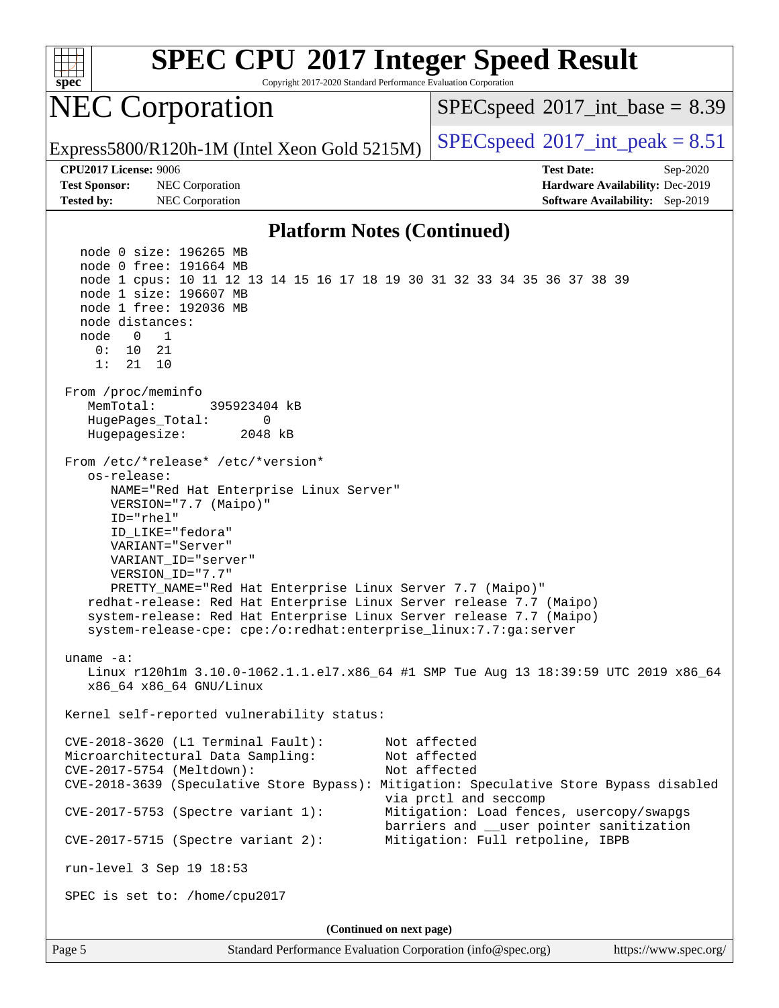| spec                                                               | <b>SPEC CPU®2017 Integer Speed Result</b><br>Copyright 2017-2020 Standard Performance Evaluation Corporation                                                                                                                                                                                                                                                                                                                                                                         |                                            |                                                                                                                                                                                                                                                          |  |  |  |
|--------------------------------------------------------------------|--------------------------------------------------------------------------------------------------------------------------------------------------------------------------------------------------------------------------------------------------------------------------------------------------------------------------------------------------------------------------------------------------------------------------------------------------------------------------------------|--------------------------------------------|----------------------------------------------------------------------------------------------------------------------------------------------------------------------------------------------------------------------------------------------------------|--|--|--|
|                                                                    | <b>NEC Corporation</b>                                                                                                                                                                                                                                                                                                                                                                                                                                                               | $SPEC speed^{\circ}2017\_int\_base = 8.39$ |                                                                                                                                                                                                                                                          |  |  |  |
|                                                                    | Express5800/R120h-1M (Intel Xeon Gold 5215M)                                                                                                                                                                                                                                                                                                                                                                                                                                         | $SPEC speed^{\circ}2017\_int\_peak = 8.51$ |                                                                                                                                                                                                                                                          |  |  |  |
| CPU2017 License: 9006<br><b>Test Sponsor:</b><br><b>Tested by:</b> | NEC Corporation<br>NEC Corporation                                                                                                                                                                                                                                                                                                                                                                                                                                                   |                                            | <b>Test Date:</b><br>Sep-2020<br>Hardware Availability: Dec-2019<br><b>Software Availability:</b> Sep-2019                                                                                                                                               |  |  |  |
|                                                                    | <b>Platform Notes (Continued)</b>                                                                                                                                                                                                                                                                                                                                                                                                                                                    |                                            |                                                                                                                                                                                                                                                          |  |  |  |
| node distances:<br>node<br>$\overline{0}$<br>0 :<br>10<br>1:<br>21 | node 0 size: 196265 MB<br>node 0 free: 191664 MB<br>node 1 cpus: 10 11 12 13 14 15 16 17 18 19 30 31 32 33 34 35 36 37 38 39<br>node 1 size: 196607 MB<br>node 1 free: 192036 MB<br>1<br>21<br>10                                                                                                                                                                                                                                                                                    |                                            |                                                                                                                                                                                                                                                          |  |  |  |
| From /proc/meminfo<br>MemTotal:<br>Hugepagesize:                   | 395923404 kB<br>HugePages_Total:<br>0<br>2048 kB                                                                                                                                                                                                                                                                                                                                                                                                                                     |                                            |                                                                                                                                                                                                                                                          |  |  |  |
| os-release:                                                        | From /etc/*release* /etc/*version*<br>NAME="Red Hat Enterprise Linux Server"<br>VERSION="7.7 (Maipo)"<br>ID="rhel"<br>ID LIKE="fedora"<br>VARIANT="Server"<br>VARIANT_ID="server"<br>VERSION_ID="7.7"<br>PRETTY_NAME="Red Hat Enterprise Linux Server 7.7 (Maipo)"<br>redhat-release: Red Hat Enterprise Linux Server release 7.7 (Maipo)<br>system-release: Red Hat Enterprise Linux Server release 7.7 (Maipo)<br>system-release-cpe: cpe:/o:redhat:enterprise_linux:7.7:ga:server |                                            |                                                                                                                                                                                                                                                          |  |  |  |
| $uname -a:$                                                        | x86_64 x86_64 GNU/Linux                                                                                                                                                                                                                                                                                                                                                                                                                                                              |                                            | Linux r120h1m 3.10.0-1062.1.1.el7.x86_64 #1 SMP Tue Aug 13 18:39:59 UTC 2019 x86_64                                                                                                                                                                      |  |  |  |
|                                                                    | Kernel self-reported vulnerability status:                                                                                                                                                                                                                                                                                                                                                                                                                                           |                                            |                                                                                                                                                                                                                                                          |  |  |  |
|                                                                    | CVE-2018-3620 (L1 Terminal Fault):<br>Microarchitectural Data Sampling:<br>CVE-2017-5754 (Meltdown):<br>$CVE-2017-5753$ (Spectre variant 1):                                                                                                                                                                                                                                                                                                                                         |                                            | Not affected<br>Not affected<br>Not affected<br>CVE-2018-3639 (Speculative Store Bypass): Mitigation: Speculative Store Bypass disabled<br>via prctl and seccomp<br>Mitigation: Load fences, usercopy/swapgs<br>barriers and __user pointer sanitization |  |  |  |
|                                                                    | $CVE-2017-5715$ (Spectre variant 2):                                                                                                                                                                                                                                                                                                                                                                                                                                                 |                                            | Mitigation: Full retpoline, IBPB                                                                                                                                                                                                                         |  |  |  |
|                                                                    | run-level 3 Sep 19 18:53                                                                                                                                                                                                                                                                                                                                                                                                                                                             |                                            |                                                                                                                                                                                                                                                          |  |  |  |
|                                                                    | SPEC is set to: /home/cpu2017                                                                                                                                                                                                                                                                                                                                                                                                                                                        |                                            |                                                                                                                                                                                                                                                          |  |  |  |
|                                                                    |                                                                                                                                                                                                                                                                                                                                                                                                                                                                                      | (Continued on next page)                   |                                                                                                                                                                                                                                                          |  |  |  |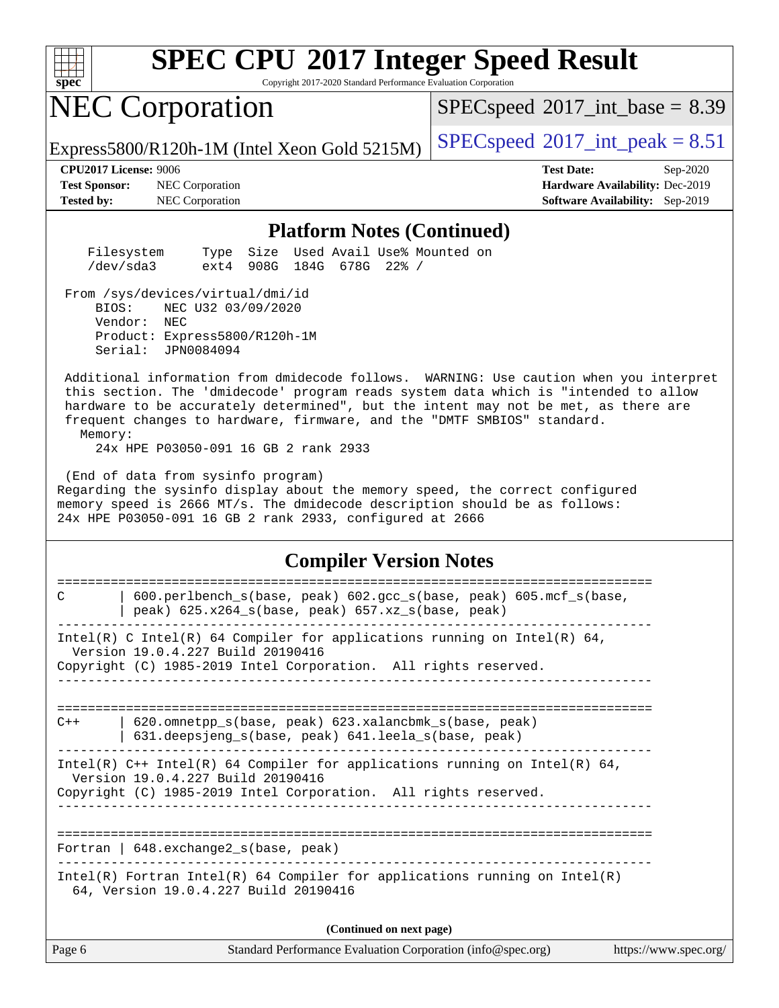

Copyright 2017-2020 Standard Performance Evaluation Corporation

# NEC Corporation

 $SPECspeed^{\circ}2017\_int\_base = 8.39$  $SPECspeed^{\circ}2017\_int\_base = 8.39$ 

Express5800/R120h-1M (Intel Xeon Gold 5215M)  $\big|$  [SPECspeed](http://www.spec.org/auto/cpu2017/Docs/result-fields.html#SPECspeed2017intpeak)®[2017\\_int\\_peak = 8](http://www.spec.org/auto/cpu2017/Docs/result-fields.html#SPECspeed2017intpeak).51

**[Test Sponsor:](http://www.spec.org/auto/cpu2017/Docs/result-fields.html#TestSponsor)** NEC Corporation **[Hardware Availability:](http://www.spec.org/auto/cpu2017/Docs/result-fields.html#HardwareAvailability)** Dec-2019 **[Tested by:](http://www.spec.org/auto/cpu2017/Docs/result-fields.html#Testedby)** NEC Corporation **[Software Availability:](http://www.spec.org/auto/cpu2017/Docs/result-fields.html#SoftwareAvailability)** Sep-2019

**[CPU2017 License:](http://www.spec.org/auto/cpu2017/Docs/result-fields.html#CPU2017License)** 9006 **[Test Date:](http://www.spec.org/auto/cpu2017/Docs/result-fields.html#TestDate)** Sep-2020

#### **[Platform Notes \(Continued\)](http://www.spec.org/auto/cpu2017/Docs/result-fields.html#PlatformNotes)**

| Filesystem |                           |  | Type Size Used Avail Use% Mounted on |  |
|------------|---------------------------|--|--------------------------------------|--|
| /dev/sda3  | ext4 908G 184G 678G 22% / |  |                                      |  |

From /sys/devices/virtual/dmi/id

 BIOS: NEC U32 03/09/2020 Vendor: NEC Product: Express5800/R120h-1M Serial: JPN0084094

 Additional information from dmidecode follows. WARNING: Use caution when you interpret this section. The 'dmidecode' program reads system data which is "intended to allow hardware to be accurately determined", but the intent may not be met, as there are frequent changes to hardware, firmware, and the "DMTF SMBIOS" standard.

Memory:

24x HPE P03050-091 16 GB 2 rank 2933

 (End of data from sysinfo program) Regarding the sysinfo display about the memory speed, the correct configured memory speed is 2666 MT/s. The dmidecode description should be as follows: 24x HPE P03050-091 16 GB 2 rank 2933, configured at 2666

#### **[Compiler Version Notes](http://www.spec.org/auto/cpu2017/Docs/result-fields.html#CompilerVersionNotes)**

| 600.perlbench_s(base, peak) 602.gcc_s(base, peak) 605.mcf_s(base,<br>C<br>peak) $625.x264_s(base, peak)$ $657.xz_s(base, peak)$                                                      |
|--------------------------------------------------------------------------------------------------------------------------------------------------------------------------------------|
| Intel(R) C Intel(R) 64 Compiler for applications running on Intel(R) 64,<br>Version 19.0.4.227 Build 20190416<br>Copyright (C) 1985-2019 Intel Corporation. All rights reserved.     |
|                                                                                                                                                                                      |
| 620.omnetpp_s(base, peak) 623.xalancbmk_s(base, peak)<br>$C++$<br>631.deepsjeng_s(base, peak) 641.leela_s(base, peak)                                                                |
| Intel(R) $C++$ Intel(R) 64 Compiler for applications running on Intel(R) 64,<br>Version 19.0.4.227 Build 20190416<br>Copyright (C) 1985-2019 Intel Corporation. All rights reserved. |
| Fortran   $648$ . exchange2 $s$ (base, peak)                                                                                                                                         |
| Intel(R) Fortran Intel(R) 64 Compiler for applications running on Intel(R)<br>64, Version 19.0.4.227 Build 20190416                                                                  |
| (Continued on next page)                                                                                                                                                             |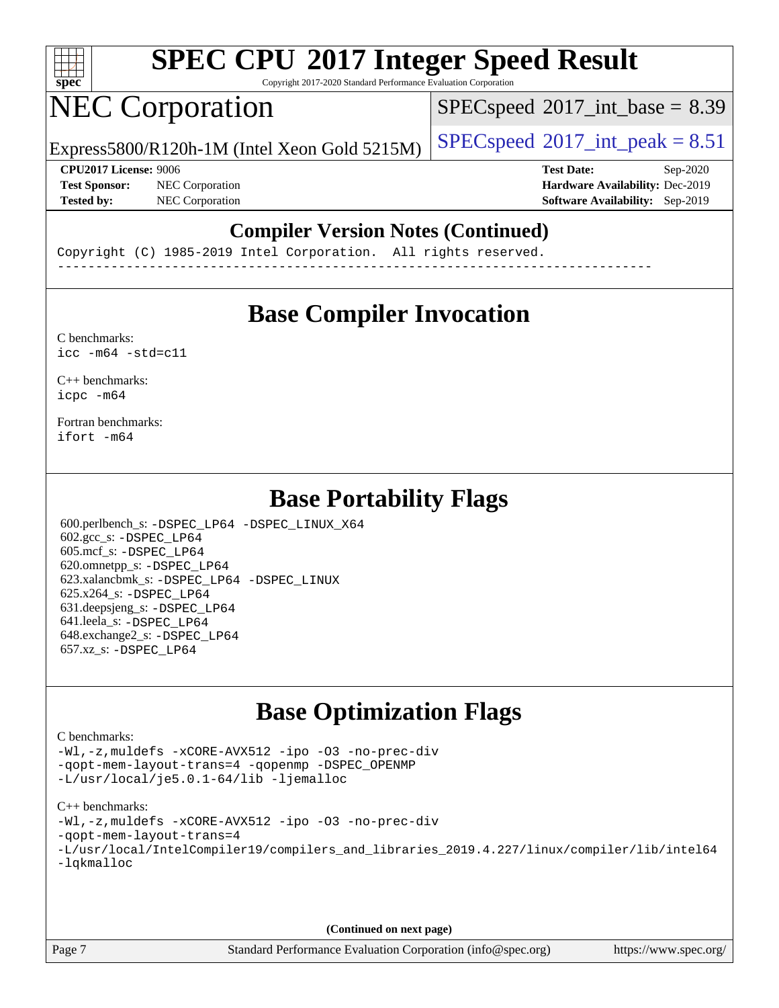

Copyright 2017-2020 Standard Performance Evaluation Corporation

# NEC Corporation

 $SPECspeed^{\circledcirc}2017\_int\_base = 8.39$  $SPECspeed^{\circledcirc}2017\_int\_base = 8.39$ 

Express5800/R120h-1M (Intel Xeon Gold 5215M)  $\big|$  [SPECspeed](http://www.spec.org/auto/cpu2017/Docs/result-fields.html#SPECspeed2017intpeak)®[2017\\_int\\_peak = 8](http://www.spec.org/auto/cpu2017/Docs/result-fields.html#SPECspeed2017intpeak).51

**[Test Sponsor:](http://www.spec.org/auto/cpu2017/Docs/result-fields.html#TestSponsor)** NEC Corporation **[Hardware Availability:](http://www.spec.org/auto/cpu2017/Docs/result-fields.html#HardwareAvailability)** Dec-2019

**[CPU2017 License:](http://www.spec.org/auto/cpu2017/Docs/result-fields.html#CPU2017License)** 9006 **[Test Date:](http://www.spec.org/auto/cpu2017/Docs/result-fields.html#TestDate)** Sep-2020 **[Tested by:](http://www.spec.org/auto/cpu2017/Docs/result-fields.html#Testedby)** NEC Corporation **[Software Availability:](http://www.spec.org/auto/cpu2017/Docs/result-fields.html#SoftwareAvailability)** Sep-2019

#### **[Compiler Version Notes \(Continued\)](http://www.spec.org/auto/cpu2017/Docs/result-fields.html#CompilerVersionNotes)**

Copyright (C) 1985-2019 Intel Corporation. All rights reserved. ------------------------------------------------------------------------------

### **[Base Compiler Invocation](http://www.spec.org/auto/cpu2017/Docs/result-fields.html#BaseCompilerInvocation)**

[C benchmarks](http://www.spec.org/auto/cpu2017/Docs/result-fields.html#Cbenchmarks):  $\text{icc}$  -m64 -std=c11

[C++ benchmarks:](http://www.spec.org/auto/cpu2017/Docs/result-fields.html#CXXbenchmarks) [icpc -m64](http://www.spec.org/cpu2017/results/res2020q4/cpu2017-20200928-24118.flags.html#user_CXXbase_intel_icpc_64bit_4ecb2543ae3f1412ef961e0650ca070fec7b7afdcd6ed48761b84423119d1bf6bdf5cad15b44d48e7256388bc77273b966e5eb805aefd121eb22e9299b2ec9d9)

[Fortran benchmarks](http://www.spec.org/auto/cpu2017/Docs/result-fields.html#Fortranbenchmarks): [ifort -m64](http://www.spec.org/cpu2017/results/res2020q4/cpu2017-20200928-24118.flags.html#user_FCbase_intel_ifort_64bit_24f2bb282fbaeffd6157abe4f878425411749daecae9a33200eee2bee2fe76f3b89351d69a8130dd5949958ce389cf37ff59a95e7a40d588e8d3a57e0c3fd751)

### **[Base Portability Flags](http://www.spec.org/auto/cpu2017/Docs/result-fields.html#BasePortabilityFlags)**

 600.perlbench\_s: [-DSPEC\\_LP64](http://www.spec.org/cpu2017/results/res2020q4/cpu2017-20200928-24118.flags.html#b600.perlbench_s_basePORTABILITY_DSPEC_LP64) [-DSPEC\\_LINUX\\_X64](http://www.spec.org/cpu2017/results/res2020q4/cpu2017-20200928-24118.flags.html#b600.perlbench_s_baseCPORTABILITY_DSPEC_LINUX_X64) 602.gcc\_s: [-DSPEC\\_LP64](http://www.spec.org/cpu2017/results/res2020q4/cpu2017-20200928-24118.flags.html#suite_basePORTABILITY602_gcc_s_DSPEC_LP64) 605.mcf\_s: [-DSPEC\\_LP64](http://www.spec.org/cpu2017/results/res2020q4/cpu2017-20200928-24118.flags.html#suite_basePORTABILITY605_mcf_s_DSPEC_LP64) 620.omnetpp\_s: [-DSPEC\\_LP64](http://www.spec.org/cpu2017/results/res2020q4/cpu2017-20200928-24118.flags.html#suite_basePORTABILITY620_omnetpp_s_DSPEC_LP64) 623.xalancbmk\_s: [-DSPEC\\_LP64](http://www.spec.org/cpu2017/results/res2020q4/cpu2017-20200928-24118.flags.html#suite_basePORTABILITY623_xalancbmk_s_DSPEC_LP64) [-DSPEC\\_LINUX](http://www.spec.org/cpu2017/results/res2020q4/cpu2017-20200928-24118.flags.html#b623.xalancbmk_s_baseCXXPORTABILITY_DSPEC_LINUX) 625.x264\_s: [-DSPEC\\_LP64](http://www.spec.org/cpu2017/results/res2020q4/cpu2017-20200928-24118.flags.html#suite_basePORTABILITY625_x264_s_DSPEC_LP64) 631.deepsjeng\_s: [-DSPEC\\_LP64](http://www.spec.org/cpu2017/results/res2020q4/cpu2017-20200928-24118.flags.html#suite_basePORTABILITY631_deepsjeng_s_DSPEC_LP64) 641.leela\_s: [-DSPEC\\_LP64](http://www.spec.org/cpu2017/results/res2020q4/cpu2017-20200928-24118.flags.html#suite_basePORTABILITY641_leela_s_DSPEC_LP64) 648.exchange2\_s: [-DSPEC\\_LP64](http://www.spec.org/cpu2017/results/res2020q4/cpu2017-20200928-24118.flags.html#suite_basePORTABILITY648_exchange2_s_DSPEC_LP64) 657.xz\_s: [-DSPEC\\_LP64](http://www.spec.org/cpu2017/results/res2020q4/cpu2017-20200928-24118.flags.html#suite_basePORTABILITY657_xz_s_DSPEC_LP64)

### **[Base Optimization Flags](http://www.spec.org/auto/cpu2017/Docs/result-fields.html#BaseOptimizationFlags)**

#### [C benchmarks](http://www.spec.org/auto/cpu2017/Docs/result-fields.html#Cbenchmarks):

[-Wl,-z,muldefs](http://www.spec.org/cpu2017/results/res2020q4/cpu2017-20200928-24118.flags.html#user_CCbase_link_force_multiple1_b4cbdb97b34bdee9ceefcfe54f4c8ea74255f0b02a4b23e853cdb0e18eb4525ac79b5a88067c842dd0ee6996c24547a27a4b99331201badda8798ef8a743f577) [-xCORE-AVX512](http://www.spec.org/cpu2017/results/res2020q4/cpu2017-20200928-24118.flags.html#user_CCbase_f-xCORE-AVX512) [-ipo](http://www.spec.org/cpu2017/results/res2020q4/cpu2017-20200928-24118.flags.html#user_CCbase_f-ipo) [-O3](http://www.spec.org/cpu2017/results/res2020q4/cpu2017-20200928-24118.flags.html#user_CCbase_f-O3) [-no-prec-div](http://www.spec.org/cpu2017/results/res2020q4/cpu2017-20200928-24118.flags.html#user_CCbase_f-no-prec-div) [-qopt-mem-layout-trans=4](http://www.spec.org/cpu2017/results/res2020q4/cpu2017-20200928-24118.flags.html#user_CCbase_f-qopt-mem-layout-trans_fa39e755916c150a61361b7846f310bcdf6f04e385ef281cadf3647acec3f0ae266d1a1d22d972a7087a248fd4e6ca390a3634700869573d231a252c784941a8) [-qopenmp](http://www.spec.org/cpu2017/results/res2020q4/cpu2017-20200928-24118.flags.html#user_CCbase_qopenmp_16be0c44f24f464004c6784a7acb94aca937f053568ce72f94b139a11c7c168634a55f6653758ddd83bcf7b8463e8028bb0b48b77bcddc6b78d5d95bb1df2967) [-DSPEC\\_OPENMP](http://www.spec.org/cpu2017/results/res2020q4/cpu2017-20200928-24118.flags.html#suite_CCbase_DSPEC_OPENMP) [-L/usr/local/je5.0.1-64/lib](http://www.spec.org/cpu2017/results/res2020q4/cpu2017-20200928-24118.flags.html#user_CCbase_jemalloc_link_path64_4b10a636b7bce113509b17f3bd0d6226c5fb2346b9178c2d0232c14f04ab830f976640479e5c33dc2bcbbdad86ecfb6634cbbd4418746f06f368b512fced5394) [-ljemalloc](http://www.spec.org/cpu2017/results/res2020q4/cpu2017-20200928-24118.flags.html#user_CCbase_jemalloc_link_lib_d1249b907c500fa1c0672f44f562e3d0f79738ae9e3c4a9c376d49f265a04b9c99b167ecedbf6711b3085be911c67ff61f150a17b3472be731631ba4d0471706)

#### [C++ benchmarks:](http://www.spec.org/auto/cpu2017/Docs/result-fields.html#CXXbenchmarks)

[-Wl,-z,muldefs](http://www.spec.org/cpu2017/results/res2020q4/cpu2017-20200928-24118.flags.html#user_CXXbase_link_force_multiple1_b4cbdb97b34bdee9ceefcfe54f4c8ea74255f0b02a4b23e853cdb0e18eb4525ac79b5a88067c842dd0ee6996c24547a27a4b99331201badda8798ef8a743f577) [-xCORE-AVX512](http://www.spec.org/cpu2017/results/res2020q4/cpu2017-20200928-24118.flags.html#user_CXXbase_f-xCORE-AVX512) [-ipo](http://www.spec.org/cpu2017/results/res2020q4/cpu2017-20200928-24118.flags.html#user_CXXbase_f-ipo) [-O3](http://www.spec.org/cpu2017/results/res2020q4/cpu2017-20200928-24118.flags.html#user_CXXbase_f-O3) [-no-prec-div](http://www.spec.org/cpu2017/results/res2020q4/cpu2017-20200928-24118.flags.html#user_CXXbase_f-no-prec-div)

- [-qopt-mem-layout-trans=4](http://www.spec.org/cpu2017/results/res2020q4/cpu2017-20200928-24118.flags.html#user_CXXbase_f-qopt-mem-layout-trans_fa39e755916c150a61361b7846f310bcdf6f04e385ef281cadf3647acec3f0ae266d1a1d22d972a7087a248fd4e6ca390a3634700869573d231a252c784941a8)
- [-L/usr/local/IntelCompiler19/compilers\\_and\\_libraries\\_2019.4.227/linux/compiler/lib/intel64](http://www.spec.org/cpu2017/results/res2020q4/cpu2017-20200928-24118.flags.html#user_CXXbase_qkmalloc_link_0ffe0cb02c68ef1b443a077c7888c10c67ca0d1dd7138472156f06a085bbad385f78d49618ad55dca9db3b1608e84afc2f69b4003b1d1ca498a9fc1462ccefda) [-lqkmalloc](http://www.spec.org/cpu2017/results/res2020q4/cpu2017-20200928-24118.flags.html#user_CXXbase_qkmalloc_link_lib_79a818439969f771c6bc311cfd333c00fc099dad35c030f5aab9dda831713d2015205805422f83de8875488a2991c0a156aaa600e1f9138f8fc37004abc96dc5)

**(Continued on next page)**

Page 7 Standard Performance Evaluation Corporation [\(info@spec.org\)](mailto:info@spec.org) <https://www.spec.org/>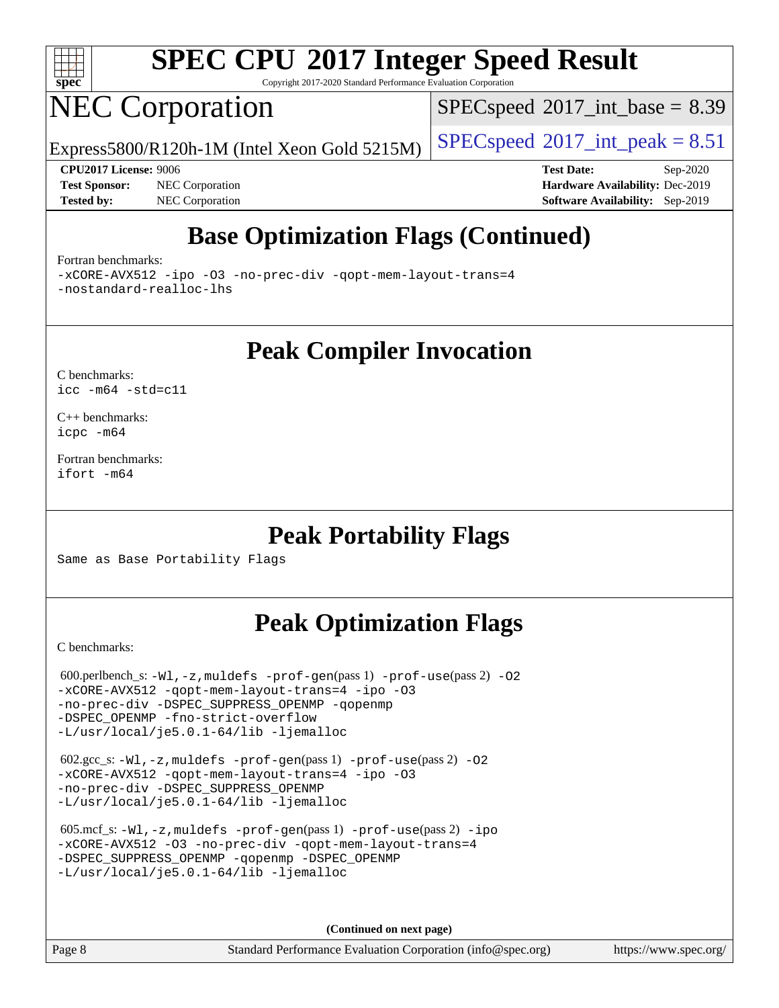

Copyright 2017-2020 Standard Performance Evaluation Corporation

# NEC Corporation

 $SPECspeed^{\circ}2017\_int\_base = 8.39$  $SPECspeed^{\circ}2017\_int\_base = 8.39$ 

Express5800/R120h-1M (Intel Xeon Gold 5215M)  $\big|$  [SPECspeed](http://www.spec.org/auto/cpu2017/Docs/result-fields.html#SPECspeed2017intpeak)®[2017\\_int\\_peak = 8](http://www.spec.org/auto/cpu2017/Docs/result-fields.html#SPECspeed2017intpeak).51

**[Test Sponsor:](http://www.spec.org/auto/cpu2017/Docs/result-fields.html#TestSponsor)** NEC Corporation **[Hardware Availability:](http://www.spec.org/auto/cpu2017/Docs/result-fields.html#HardwareAvailability)** Dec-2019

**[CPU2017 License:](http://www.spec.org/auto/cpu2017/Docs/result-fields.html#CPU2017License)** 9006 **[Test Date:](http://www.spec.org/auto/cpu2017/Docs/result-fields.html#TestDate)** Sep-2020 **[Tested by:](http://www.spec.org/auto/cpu2017/Docs/result-fields.html#Testedby)** NEC Corporation **[Software Availability:](http://www.spec.org/auto/cpu2017/Docs/result-fields.html#SoftwareAvailability)** Sep-2019

## **[Base Optimization Flags \(Continued\)](http://www.spec.org/auto/cpu2017/Docs/result-fields.html#BaseOptimizationFlags)**

#### [Fortran benchmarks](http://www.spec.org/auto/cpu2017/Docs/result-fields.html#Fortranbenchmarks):

[-xCORE-AVX512](http://www.spec.org/cpu2017/results/res2020q4/cpu2017-20200928-24118.flags.html#user_FCbase_f-xCORE-AVX512) [-ipo](http://www.spec.org/cpu2017/results/res2020q4/cpu2017-20200928-24118.flags.html#user_FCbase_f-ipo) [-O3](http://www.spec.org/cpu2017/results/res2020q4/cpu2017-20200928-24118.flags.html#user_FCbase_f-O3) [-no-prec-div](http://www.spec.org/cpu2017/results/res2020q4/cpu2017-20200928-24118.flags.html#user_FCbase_f-no-prec-div) [-qopt-mem-layout-trans=4](http://www.spec.org/cpu2017/results/res2020q4/cpu2017-20200928-24118.flags.html#user_FCbase_f-qopt-mem-layout-trans_fa39e755916c150a61361b7846f310bcdf6f04e385ef281cadf3647acec3f0ae266d1a1d22d972a7087a248fd4e6ca390a3634700869573d231a252c784941a8) [-nostandard-realloc-lhs](http://www.spec.org/cpu2017/results/res2020q4/cpu2017-20200928-24118.flags.html#user_FCbase_f_2003_std_realloc_82b4557e90729c0f113870c07e44d33d6f5a304b4f63d4c15d2d0f1fab99f5daaed73bdb9275d9ae411527f28b936061aa8b9c8f2d63842963b95c9dd6426b8a)

**[Peak Compiler Invocation](http://www.spec.org/auto/cpu2017/Docs/result-fields.html#PeakCompilerInvocation)**

[C benchmarks](http://www.spec.org/auto/cpu2017/Docs/result-fields.html#Cbenchmarks): [icc -m64 -std=c11](http://www.spec.org/cpu2017/results/res2020q4/cpu2017-20200928-24118.flags.html#user_CCpeak_intel_icc_64bit_c11_33ee0cdaae7deeeab2a9725423ba97205ce30f63b9926c2519791662299b76a0318f32ddfffdc46587804de3178b4f9328c46fa7c2b0cd779d7a61945c91cd35)

[C++ benchmarks:](http://www.spec.org/auto/cpu2017/Docs/result-fields.html#CXXbenchmarks) [icpc -m64](http://www.spec.org/cpu2017/results/res2020q4/cpu2017-20200928-24118.flags.html#user_CXXpeak_intel_icpc_64bit_4ecb2543ae3f1412ef961e0650ca070fec7b7afdcd6ed48761b84423119d1bf6bdf5cad15b44d48e7256388bc77273b966e5eb805aefd121eb22e9299b2ec9d9)

[Fortran benchmarks](http://www.spec.org/auto/cpu2017/Docs/result-fields.html#Fortranbenchmarks): [ifort -m64](http://www.spec.org/cpu2017/results/res2020q4/cpu2017-20200928-24118.flags.html#user_FCpeak_intel_ifort_64bit_24f2bb282fbaeffd6157abe4f878425411749daecae9a33200eee2bee2fe76f3b89351d69a8130dd5949958ce389cf37ff59a95e7a40d588e8d3a57e0c3fd751)

#### **[Peak Portability Flags](http://www.spec.org/auto/cpu2017/Docs/result-fields.html#PeakPortabilityFlags)**

Same as Base Portability Flags

## **[Peak Optimization Flags](http://www.spec.org/auto/cpu2017/Docs/result-fields.html#PeakOptimizationFlags)**

[C benchmarks](http://www.spec.org/auto/cpu2017/Docs/result-fields.html#Cbenchmarks):

 600.perlbench\_s: [-Wl,-z,muldefs](http://www.spec.org/cpu2017/results/res2020q4/cpu2017-20200928-24118.flags.html#user_peakEXTRA_LDFLAGS600_perlbench_s_link_force_multiple1_b4cbdb97b34bdee9ceefcfe54f4c8ea74255f0b02a4b23e853cdb0e18eb4525ac79b5a88067c842dd0ee6996c24547a27a4b99331201badda8798ef8a743f577) [-prof-gen](http://www.spec.org/cpu2017/results/res2020q4/cpu2017-20200928-24118.flags.html#user_peakPASS1_CFLAGSPASS1_LDFLAGS600_perlbench_s_prof_gen_5aa4926d6013ddb2a31985c654b3eb18169fc0c6952a63635c234f711e6e63dd76e94ad52365559451ec499a2cdb89e4dc58ba4c67ef54ca681ffbe1461d6b36)(pass 1) [-prof-use](http://www.spec.org/cpu2017/results/res2020q4/cpu2017-20200928-24118.flags.html#user_peakPASS2_CFLAGSPASS2_LDFLAGS600_perlbench_s_prof_use_1a21ceae95f36a2b53c25747139a6c16ca95bd9def2a207b4f0849963b97e94f5260e30a0c64f4bb623698870e679ca08317ef8150905d41bd88c6f78df73f19)(pass 2) [-O2](http://www.spec.org/cpu2017/results/res2020q4/cpu2017-20200928-24118.flags.html#user_peakPASS1_COPTIMIZE600_perlbench_s_f-O2) [-xCORE-AVX512](http://www.spec.org/cpu2017/results/res2020q4/cpu2017-20200928-24118.flags.html#user_peakPASS2_COPTIMIZE600_perlbench_s_f-xCORE-AVX512) [-qopt-mem-layout-trans=4](http://www.spec.org/cpu2017/results/res2020q4/cpu2017-20200928-24118.flags.html#user_peakPASS1_COPTIMIZEPASS2_COPTIMIZE600_perlbench_s_f-qopt-mem-layout-trans_fa39e755916c150a61361b7846f310bcdf6f04e385ef281cadf3647acec3f0ae266d1a1d22d972a7087a248fd4e6ca390a3634700869573d231a252c784941a8) [-ipo](http://www.spec.org/cpu2017/results/res2020q4/cpu2017-20200928-24118.flags.html#user_peakPASS2_COPTIMIZE600_perlbench_s_f-ipo) [-O3](http://www.spec.org/cpu2017/results/res2020q4/cpu2017-20200928-24118.flags.html#user_peakPASS2_COPTIMIZE600_perlbench_s_f-O3) [-no-prec-div](http://www.spec.org/cpu2017/results/res2020q4/cpu2017-20200928-24118.flags.html#user_peakPASS2_COPTIMIZE600_perlbench_s_f-no-prec-div) [-DSPEC\\_SUPPRESS\\_OPENMP](http://www.spec.org/cpu2017/results/res2020q4/cpu2017-20200928-24118.flags.html#suite_peakPASS1_COPTIMIZE600_perlbench_s_DSPEC_SUPPRESS_OPENMP) [-qopenmp](http://www.spec.org/cpu2017/results/res2020q4/cpu2017-20200928-24118.flags.html#user_peakPASS2_COPTIMIZE600_perlbench_s_qopenmp_16be0c44f24f464004c6784a7acb94aca937f053568ce72f94b139a11c7c168634a55f6653758ddd83bcf7b8463e8028bb0b48b77bcddc6b78d5d95bb1df2967) [-DSPEC\\_OPENMP](http://www.spec.org/cpu2017/results/res2020q4/cpu2017-20200928-24118.flags.html#suite_peakPASS2_COPTIMIZE600_perlbench_s_DSPEC_OPENMP) [-fno-strict-overflow](http://www.spec.org/cpu2017/results/res2020q4/cpu2017-20200928-24118.flags.html#user_peakEXTRA_OPTIMIZE600_perlbench_s_f-fno-strict-overflow) [-L/usr/local/je5.0.1-64/lib](http://www.spec.org/cpu2017/results/res2020q4/cpu2017-20200928-24118.flags.html#user_peakEXTRA_LIBS600_perlbench_s_jemalloc_link_path64_4b10a636b7bce113509b17f3bd0d6226c5fb2346b9178c2d0232c14f04ab830f976640479e5c33dc2bcbbdad86ecfb6634cbbd4418746f06f368b512fced5394) [-ljemalloc](http://www.spec.org/cpu2017/results/res2020q4/cpu2017-20200928-24118.flags.html#user_peakEXTRA_LIBS600_perlbench_s_jemalloc_link_lib_d1249b907c500fa1c0672f44f562e3d0f79738ae9e3c4a9c376d49f265a04b9c99b167ecedbf6711b3085be911c67ff61f150a17b3472be731631ba4d0471706) 602.gcc\_s: [-Wl,-z,muldefs](http://www.spec.org/cpu2017/results/res2020q4/cpu2017-20200928-24118.flags.html#user_peakEXTRA_LDFLAGS602_gcc_s_link_force_multiple1_b4cbdb97b34bdee9ceefcfe54f4c8ea74255f0b02a4b23e853cdb0e18eb4525ac79b5a88067c842dd0ee6996c24547a27a4b99331201badda8798ef8a743f577) [-prof-gen](http://www.spec.org/cpu2017/results/res2020q4/cpu2017-20200928-24118.flags.html#user_peakPASS1_CFLAGSPASS1_LDFLAGS602_gcc_s_prof_gen_5aa4926d6013ddb2a31985c654b3eb18169fc0c6952a63635c234f711e6e63dd76e94ad52365559451ec499a2cdb89e4dc58ba4c67ef54ca681ffbe1461d6b36)(pass 1) [-prof-use](http://www.spec.org/cpu2017/results/res2020q4/cpu2017-20200928-24118.flags.html#user_peakPASS2_CFLAGSPASS2_LDFLAGS602_gcc_s_prof_use_1a21ceae95f36a2b53c25747139a6c16ca95bd9def2a207b4f0849963b97e94f5260e30a0c64f4bb623698870e679ca08317ef8150905d41bd88c6f78df73f19)(pass 2) [-O2](http://www.spec.org/cpu2017/results/res2020q4/cpu2017-20200928-24118.flags.html#user_peakPASS1_COPTIMIZE602_gcc_s_f-O2) [-xCORE-AVX512](http://www.spec.org/cpu2017/results/res2020q4/cpu2017-20200928-24118.flags.html#user_peakPASS2_COPTIMIZE602_gcc_s_f-xCORE-AVX512) [-qopt-mem-layout-trans=4](http://www.spec.org/cpu2017/results/res2020q4/cpu2017-20200928-24118.flags.html#user_peakPASS1_COPTIMIZEPASS2_COPTIMIZE602_gcc_s_f-qopt-mem-layout-trans_fa39e755916c150a61361b7846f310bcdf6f04e385ef281cadf3647acec3f0ae266d1a1d22d972a7087a248fd4e6ca390a3634700869573d231a252c784941a8) [-ipo](http://www.spec.org/cpu2017/results/res2020q4/cpu2017-20200928-24118.flags.html#user_peakPASS2_COPTIMIZE602_gcc_s_f-ipo) [-O3](http://www.spec.org/cpu2017/results/res2020q4/cpu2017-20200928-24118.flags.html#user_peakPASS2_COPTIMIZE602_gcc_s_f-O3) [-no-prec-div](http://www.spec.org/cpu2017/results/res2020q4/cpu2017-20200928-24118.flags.html#user_peakPASS2_COPTIMIZE602_gcc_s_f-no-prec-div) [-DSPEC\\_SUPPRESS\\_OPENMP](http://www.spec.org/cpu2017/results/res2020q4/cpu2017-20200928-24118.flags.html#suite_peakPASS1_COPTIMIZE602_gcc_s_DSPEC_SUPPRESS_OPENMP) [-L/usr/local/je5.0.1-64/lib](http://www.spec.org/cpu2017/results/res2020q4/cpu2017-20200928-24118.flags.html#user_peakEXTRA_LIBS602_gcc_s_jemalloc_link_path64_4b10a636b7bce113509b17f3bd0d6226c5fb2346b9178c2d0232c14f04ab830f976640479e5c33dc2bcbbdad86ecfb6634cbbd4418746f06f368b512fced5394) [-ljemalloc](http://www.spec.org/cpu2017/results/res2020q4/cpu2017-20200928-24118.flags.html#user_peakEXTRA_LIBS602_gcc_s_jemalloc_link_lib_d1249b907c500fa1c0672f44f562e3d0f79738ae9e3c4a9c376d49f265a04b9c99b167ecedbf6711b3085be911c67ff61f150a17b3472be731631ba4d0471706) 605.mcf\_s: [-Wl,-z,muldefs](http://www.spec.org/cpu2017/results/res2020q4/cpu2017-20200928-24118.flags.html#user_peakEXTRA_LDFLAGS605_mcf_s_link_force_multiple1_b4cbdb97b34bdee9ceefcfe54f4c8ea74255f0b02a4b23e853cdb0e18eb4525ac79b5a88067c842dd0ee6996c24547a27a4b99331201badda8798ef8a743f577) [-prof-gen](http://www.spec.org/cpu2017/results/res2020q4/cpu2017-20200928-24118.flags.html#user_peakPASS1_CFLAGSPASS1_LDFLAGS605_mcf_s_prof_gen_5aa4926d6013ddb2a31985c654b3eb18169fc0c6952a63635c234f711e6e63dd76e94ad52365559451ec499a2cdb89e4dc58ba4c67ef54ca681ffbe1461d6b36)(pass 1) [-prof-use](http://www.spec.org/cpu2017/results/res2020q4/cpu2017-20200928-24118.flags.html#user_peakPASS2_CFLAGSPASS2_LDFLAGS605_mcf_s_prof_use_1a21ceae95f36a2b53c25747139a6c16ca95bd9def2a207b4f0849963b97e94f5260e30a0c64f4bb623698870e679ca08317ef8150905d41bd88c6f78df73f19)(pass 2) [-ipo](http://www.spec.org/cpu2017/results/res2020q4/cpu2017-20200928-24118.flags.html#user_peakPASS1_COPTIMIZEPASS2_COPTIMIZE605_mcf_s_f-ipo) [-xCORE-AVX512](http://www.spec.org/cpu2017/results/res2020q4/cpu2017-20200928-24118.flags.html#user_peakPASS2_COPTIMIZE605_mcf_s_f-xCORE-AVX512) [-O3](http://www.spec.org/cpu2017/results/res2020q4/cpu2017-20200928-24118.flags.html#user_peakPASS1_COPTIMIZEPASS2_COPTIMIZE605_mcf_s_f-O3) [-no-prec-div](http://www.spec.org/cpu2017/results/res2020q4/cpu2017-20200928-24118.flags.html#user_peakPASS1_COPTIMIZEPASS2_COPTIMIZE605_mcf_s_f-no-prec-div) [-qopt-mem-layout-trans=4](http://www.spec.org/cpu2017/results/res2020q4/cpu2017-20200928-24118.flags.html#user_peakPASS1_COPTIMIZEPASS2_COPTIMIZE605_mcf_s_f-qopt-mem-layout-trans_fa39e755916c150a61361b7846f310bcdf6f04e385ef281cadf3647acec3f0ae266d1a1d22d972a7087a248fd4e6ca390a3634700869573d231a252c784941a8) [-DSPEC\\_SUPPRESS\\_OPENMP](http://www.spec.org/cpu2017/results/res2020q4/cpu2017-20200928-24118.flags.html#suite_peakPASS1_COPTIMIZE605_mcf_s_DSPEC_SUPPRESS_OPENMP) [-qopenmp](http://www.spec.org/cpu2017/results/res2020q4/cpu2017-20200928-24118.flags.html#user_peakPASS2_COPTIMIZE605_mcf_s_qopenmp_16be0c44f24f464004c6784a7acb94aca937f053568ce72f94b139a11c7c168634a55f6653758ddd83bcf7b8463e8028bb0b48b77bcddc6b78d5d95bb1df2967) [-DSPEC\\_OPENMP](http://www.spec.org/cpu2017/results/res2020q4/cpu2017-20200928-24118.flags.html#suite_peakPASS2_COPTIMIZE605_mcf_s_DSPEC_OPENMP) [-L/usr/local/je5.0.1-64/lib](http://www.spec.org/cpu2017/results/res2020q4/cpu2017-20200928-24118.flags.html#user_peakEXTRA_LIBS605_mcf_s_jemalloc_link_path64_4b10a636b7bce113509b17f3bd0d6226c5fb2346b9178c2d0232c14f04ab830f976640479e5c33dc2bcbbdad86ecfb6634cbbd4418746f06f368b512fced5394) [-ljemalloc](http://www.spec.org/cpu2017/results/res2020q4/cpu2017-20200928-24118.flags.html#user_peakEXTRA_LIBS605_mcf_s_jemalloc_link_lib_d1249b907c500fa1c0672f44f562e3d0f79738ae9e3c4a9c376d49f265a04b9c99b167ecedbf6711b3085be911c67ff61f150a17b3472be731631ba4d0471706)